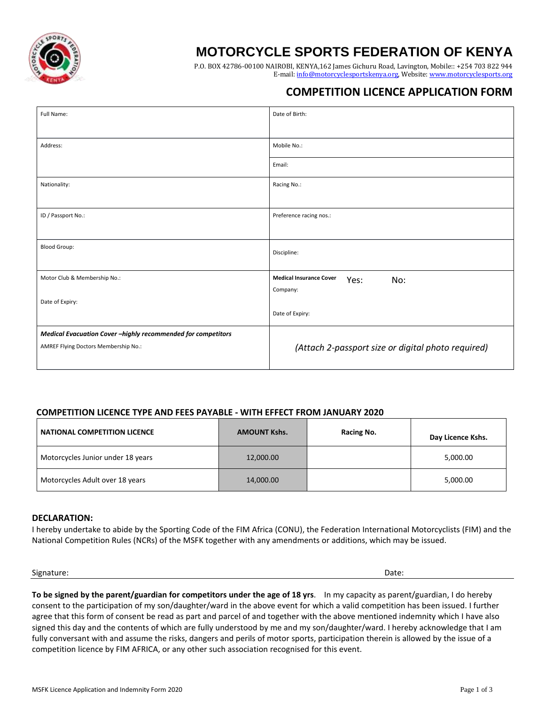

## **MOTORCYCLE SPORTS FEDERATION OF KENYA**

P.O. BOX 42786-00100 NAIROBI, KENYA,162 James Gichuru Road, Lavington, Mobile:: +254 703 822 944 E-mail: [info@motorcyclesportskenya.org,](mailto:info@motorcyclesportskenya.org) Website: [www.motorcyclesports.org](http://www.motorcyclesports.org/)

## **COMPETITION LICENCE APPLICATION FORM**

| Full Name:                                                  | Date of Birth:                                     |  |
|-------------------------------------------------------------|----------------------------------------------------|--|
|                                                             |                                                    |  |
| Address:                                                    | Mobile No.:                                        |  |
|                                                             | Email:                                             |  |
| Nationality:                                                | Racing No.:                                        |  |
|                                                             |                                                    |  |
| ID / Passport No.:                                          | Preference racing nos.:                            |  |
|                                                             |                                                    |  |
| <b>Blood Group:</b>                                         | Discipline:                                        |  |
|                                                             |                                                    |  |
| Motor Club & Membership No.:                                | <b>Medical Insurance Cover</b><br>No:<br>Yes:      |  |
| Date of Expiry:                                             | Company:                                           |  |
|                                                             | Date of Expiry:                                    |  |
| Medical Evacuation Cover-highly recommended for competitors |                                                    |  |
| AMREF Flying Doctors Membership No.:                        | (Attach 2-passport size or digital photo required) |  |
|                                                             |                                                    |  |

### **COMPETITION LICENCE TYPE AND FEES PAYABLE - WITH EFFECT FROM JANUARY 2020**

| <b>NATIONAL COMPETITION LICENCE</b> | <b>AMOUNT Kshs.</b> | Racing No. | Day Licence Kshs. |
|-------------------------------------|---------------------|------------|-------------------|
| Motorcycles Junior under 18 years   | 12,000.00           |            | 5,000.00          |
| Motorcycles Adult over 18 years     | 14,000.00           |            | 5,000.00          |

#### **DECLARATION:**

I hereby undertake to abide by the Sporting Code of the FIM Africa (CONU), the Federation International Motorcyclists (FIM) and the National Competition Rules (NCRs) of the MSFK together with any amendments or additions, which may be issued.

#### Signature: Date:

**To be signed by the parent/guardian for competitors under the age of 18 yrs**. In my capacity as parent/guardian, I do hereby consent to the participation of my son/daughter/ward in the above event for which a valid competition has been issued. I further agree that this form of consent be read as part and parcel of and together with the above mentioned indemnity which I have also signed this day and the contents of which are fully understood by me and my son/daughter/ward. I hereby acknowledge that I am fully conversant with and assume the risks, dangers and perils of motor sports, participation therein is allowed by the issue of a competition licence by FIM AFRICA, or any other such association recognised for this event.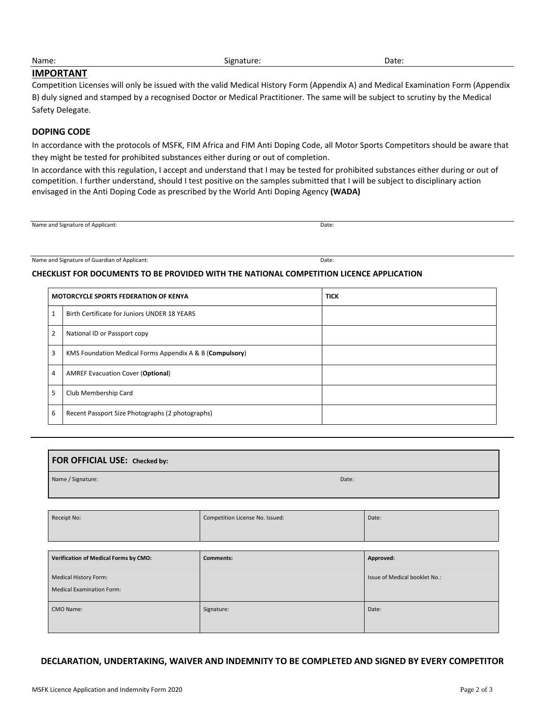# **IMPORTANT**

Competition Licenses will only be issued with the valid Medical History Form (Appendix A) and Medical Examination Form (Appendix B) duly signed and stamped by a recognised Doctor or Medical Practitioner. The same will be subject to scrutiny by the Medical Safety Delegate.

## **DOPING CODE**

In accordance with the protocols of MSFK, FIM Africa and FIM Anti Doping Code, all Motor Sports Competitors should be aware that they might be tested for prohibited substances either during or out of completion.

In accordance with this regulation, I accept and understand that I may be tested for prohibited substances either during or out of competition. I further understand, should I test positive on the samples submitted that I will be subject to disciplinary action envisaged in the Anti Doping Code as prescribed by the World Anti Doping Agency **(WADA)**

Name and Signature of Applicant: Date:

Name and Signature of Guardian of Applicant: Date:

### **CHECKLIST FOR DOCUMENTS TO BE PROVIDED WITH THE NATIONAL COMPETITION LICENCE APPLICATION**

|                | <b>MOTORCYCLE SPORTS FEDERATION OF KENYA</b>             | <b>TICK</b> |
|----------------|----------------------------------------------------------|-------------|
| 1              | Birth Certificate for Juniors UNDER 18 YEARS             |             |
| 2              | National ID or Passport copy                             |             |
| 3              | KMS Foundation Medical Forms Appendix A & B (Compulsory) |             |
| $\overline{4}$ | <b>AMREF Evacuation Cover (Optional)</b>                 |             |
| 5              | Club Membership Card                                     |             |
| 6              | Recent Passport Size Photographs (2 photographs)         |             |

| <b>FOR OFFICIAL USE:</b> Checked by: |       |  |
|--------------------------------------|-------|--|
| Name / Signature:                    | Date: |  |
|                                      |       |  |

| Receipt No:                                                      | Competition License No. Issued: | Date:                         |
|------------------------------------------------------------------|---------------------------------|-------------------------------|
| Verification of Medical Forms by CMO:                            | <b>Comments:</b>                | Approved:                     |
| <b>Medical History Form:</b><br><b>Medical Examination Form:</b> |                                 | Issue of Medical booklet No.: |
| CMO Name:                                                        | Signature:                      | Date:                         |

**DECLARATION, UNDERTAKING, WAIVER AND INDEMNITY TO BE COMPLETED AND SIGNED BY EVERY COMPETITOR**